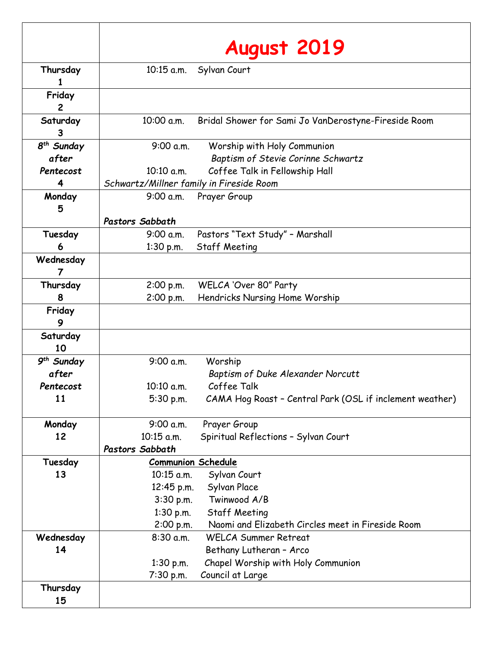|                                 | August 2019                              |                                                                                  |
|---------------------------------|------------------------------------------|----------------------------------------------------------------------------------|
| Thursday<br>1                   | $10:15$ a.m.                             | Sylvan Court                                                                     |
| Friday<br>$\overline{2}$        |                                          |                                                                                  |
| Saturday<br>3                   | 10:00 a.m.                               | Bridal Shower for Sami Jo VanDerostyne-Fireside Room                             |
| 8 <sup>th</sup> Sunday<br>after | 9:00 a.m.                                | Worship with Holy Communion<br>Baptism of Stevie Corinne Schwartz                |
| Pentecost                       | 10:10 a.m.                               | Coffee Talk in Fellowship Hall                                                   |
| 4                               | Schwartz/Millner family in Fireside Room |                                                                                  |
| Monday<br>5                     | 9:00 a.m.                                | Prayer Group                                                                     |
|                                 | Pastors Sabbath                          |                                                                                  |
| Tuesday                         | 9:00 a.m.                                | Pastors "Text Study" - Marshall                                                  |
| 6                               | $1:30$ p.m.                              | <b>Staff Meeting</b>                                                             |
| Wednesday<br>$\overline{7}$     |                                          |                                                                                  |
| Thursday                        | 2:00 p.m.                                | WELCA 'Over 80" Party                                                            |
| 8                               | 2:00 p.m.                                | Hendricks Nursing Home Worship                                                   |
| Friday<br>9                     |                                          |                                                                                  |
| Saturday<br>10                  |                                          |                                                                                  |
| 9 <sup>th</sup> Sunday          | 9:00 a.m.                                | Worship                                                                          |
| after                           |                                          | Baptism of Duke Alexander Norcutt                                                |
| Pentecost                       | 10:10 a.m.                               | Coffee Talk                                                                      |
| 11                              | 5:30 p.m.                                | CAMA Hog Roast - Central Park (OSL if inclement weather)                         |
| Monday                          | 9:00 a.m.                                | Prayer Group                                                                     |
| 12                              | 10:15 a.m.                               | Spiritual Reflections - Sylvan Court                                             |
|                                 | Pastors Sabbath                          |                                                                                  |
| Tuesday                         | <b>Communion Schedule</b>                |                                                                                  |
| 13                              | 10:15 a.m.                               | Sylvan Court                                                                     |
|                                 | 12:45 p.m.                               | Sylvan Place                                                                     |
|                                 | $3:30$ p.m.                              | Twinwood A/B                                                                     |
|                                 | $1:30$ p.m.                              | <b>Staff Meeting</b>                                                             |
| Wednesday                       | 2:00 p.m.<br>$8:30$ a.m.                 | Naomi and Elizabeth Circles meet in Fireside Room<br><b>WELCA Summer Retreat</b> |
| 14                              |                                          | Bethany Lutheran - Arco                                                          |
|                                 | $1:30$ p.m.                              | Chapel Worship with Holy Communion                                               |
|                                 | 7:30 p.m.                                | Council at Large                                                                 |
| Thursday                        |                                          |                                                                                  |
| 15                              |                                          |                                                                                  |